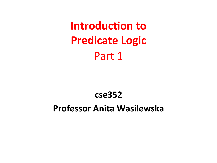**Introduction to Predicate Logic** Part 1

### **cse352**

## **Professor Anita Wasilewska**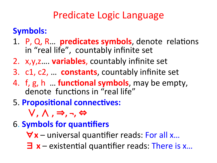# Predicate Logic Language

## **Symbols:**

- 1. P, Q, R... **predicates symbols**, denote relations in "real life", countably infinite set
- 2. x, y, z.... **variables**, countably infinite set
- 3. c1, c2, ... **constants**, countably infinite set
- 4. f, g, h ... **functional symbols**, may be empty, denote functions in "real life"
- **5. Propositional connectives:**

∨**,** ∧ **,** ⇒**, ¬,** ⇔

- **6. Symbols for quantifiers** 
	- $∀x$  universal quantifier reads: For all x...
	- $\exists$  **x** existential quantifier reads: There is x...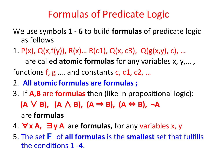## Formulas of Predicate Logic

- We use symbols **1 6** to build **formulas** of predicate logic as follows
- 1.  $P(x)$ ,  $Q(x,f(y))$ ,  $R(x)$ ...  $R(c1)$ ,  $Q(x, c3)$ ,  $Q(g(x,y), c)$ , ... are called **atomic formulas** for any variables x, y,..., functions  $f, g$  .... and constants c, c1, c2, ...
- 2. All atomic formulas are formulas ;
- 3. If **A,B** are **formulas** then (like in propositional logic): **(A** ∨**B**), **(A**  $\wedge$  **B**), **(A**  $\Rightarrow$  **B**), **(A**  $\Leftrightarrow$  **B**), ¬A are **formulas**
- 4. ∀**x A, ∃y A** are **formulas,** for any variables x, y
- **5.** The set **F** of all formulas is the smallest set that fulfills the conditions 1 -4.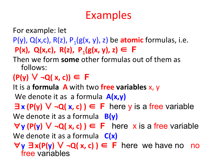# Examples

For example: let

- $P(y)$ ,  $Q(x, c)$ ,  $R(z)$ ,  $P_1(g(x, y), z)$  be **atomic** formulas, i.e. **P(x), Q(x,c), R(z), P<sub>1</sub>(g(x, y), z) ∈ F**
- Then we form **some** other formulas out of them as follows:
- **(P(y)** ∨ **¬Q( x, c))** ∈ **F**

It is a **formula A** with two free variables x, y

We denote it as a formula  $A(x,y)$ 

∃**x (P(y)** ∨ **¬Q( x, c) )** ∈ **F** here y is a free variable

We denote it as a formula **B(y)** 

∀**y (P(y)** ∨ **¬Q( x, c) )** ∈ **F** here x is a free variable

We denote it as a formula  $C(x)$ 

∀**y** ∃**x(P(y)** ∨ **¬Q( x, c) )** ∈ **F** here we have no no free variables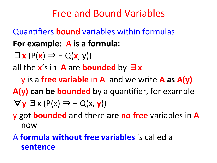## Free and Bound Variables

**Quantifiers bound** variables within formulas For example: A is a formula:

$$
\exists \mathbf{x} (P(\mathbf{x}) \Rightarrow \neg Q(\mathbf{x}, y))
$$

all the  $x$ 's in A are **bounded** by  $\exists x$ 

**y** is a free variable in A and we write A as  $A(y)$ **A(y) can be bounded** by a quantifier, for example  $\forall$ **y**  $\exists$ **x** (P(**x**)  $\Rightarrow$   $\neg$  Q(**x**, **y**))

**y** got **bounded** and there are no free variables in A now 

## A **formula without free variables** is called a **sentence**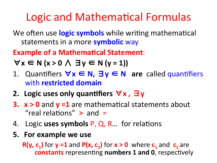# Logic and Mathematical Formulas

We often use **logic symbols** while writing mathematical statements in a more **symbolic** way

**Example of a Mathematical Statement:** 

 $\forall x \in N$  ( $x > 0 \land \exists y \in N$  ( $y = 1$ ))

- 1. Quan6fiers ∀**x** ∈ **N,** ∃**y** ∈ **N are** called quan6fiers with **restricted domain**
- **2. Logic uses only quan)fiers** ∀**x ,** ∃**y**
- **3. x** > 0 and **y** =1 are mathematical statements about "real relations"  $>$  and  $=$
- 4. Logic uses symbols P, Q, R... for relations
- **5.** For example we use

**R(y, c<sub>1</sub>)** for **y** =1 and  $P(x, c_2)$  for  $x > 0$  where  $c_1$  and  $c_2$  are **constants** representing **numbers 1 and 0**, respectively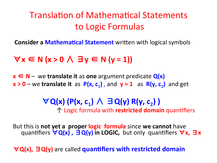## Translation of Mathematical Statements to Logic Formulas

**Consider a Mathematical Statement** written with logical symbols

∀**x** ∈ **N (x > 0** ∧ ∃**y** ∈ **N (y = 1))** 

**x** ∈ N – we translate it as one argument predicate  $Q(x)$  $x > 0$  – we translate it as  $P(x, c_1)$ , and  $y = 1$  as  $R(y, c_2)$  and get

> ∀**Q(x) (P(x, c1)** ∧ ∃**Q(y) R(y, c2) )**  ↑ Logic formula with **restricted domain** quan6fiers

But this is **not yet a proper logic formula** since we cannot have **quantifiers**  $\forall$  Q(x),  $\exists$  Q(y) in LOGIC, but only quantifiers  $\forall$  x,  $\exists$  x

 $\forall$  Q(x), ∃ Q(y) are called **quantifiers with restricted domain**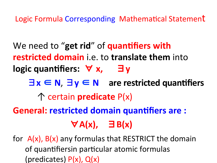Logic Formula Corresponding Mathematical Statement

We need to "get rid" of quantifiers with **restricted domain** i.e. to **translate them** into **logic quantifiers:**  $\forall$  **x, ∃y**  $\exists x \in \mathbb{N}, \exists y \in \mathbb{N}$  are restricted quantifiers ↑ certain **predicate** P(x) **General: restricted domain quantifiers are :** ∀**A(x),** ∃**B(x)** 

for  $A(x)$ ,  $B(x)$  any formulas that RESTRICT the domain of quantifiersin particular atomic formulas (predicates)  $P(x)$ ,  $Q(x)$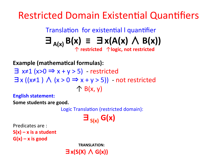**Restricted Domain Existential Quantifiers** 

Translation for existential I quantifier  $\exists_{A(x)} B(x) \equiv \exists x(A(x) \land B(x))$ 

**Example (mathematical formulas):** 

 $\exists$  x≠1 (x>0  $\Rightarrow$  x + y > 5) - restricted  $\exists x ((x\neq 1) \land (x>0 \Rightarrow x+y>5))$  - not restricted  $\uparrow$  B(x, y)

**English statement:** 

**Some students are good.** 

Logic Translation (restricted domain):

 $\Xi_{S(x)} G(x)$ 

Predicates are :  $S(x) - x$  is a student  $G(x) - x$  is good

> **TRANSLATION:**  $\exists$  **x(S(X)** ∧ G(x))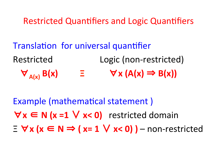Restricted Quantifiers and Logic Quantifiers

Translation for universal quantifier Restricted Logic (non-restricted)  $\forall$  A(x) B(x)  $\equiv$   $\forall$  X (A(x)  $\Rightarrow$  B(x))

Example (mathematical statement) ∀**x** ∈ **N (x =1** ∨ **x< 0)** restricted domain  $\equiv \forall x (x \in N \Rightarrow (x=1 \vee x<0))$  – non-restricted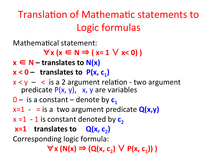# Translation of Mathematic statements to Logic formulas

Mathematical statement:

 $\forall$  x (x ∈ N  $\Rightarrow$  ( x= 1  $\lor$  x< 0) )

 $x \in N$  – translates to  $N(x)$ 

 $x < 0 -$  translates to  $P(x, c_1)$ 

- $x < y -$  < is a 2 argument relation two argument predicate  $P(x, y)$ , x, y are variables
- $0 -$  is a constant denote by  $c_1$
- $x=1 i s a$  two argument predicate  $Q(x,y)$
- $x = 1 1$  is constant denoted by  $c_2$

## $x=1$  translates to  $Q(x, c_2)$

Corresponding logic formula:

 $\forall$ **x** (N(x)  $\Rightarrow$  (Q(x, c<sub>2</sub>)  $\lor$  P(x, c<sub>1</sub>)))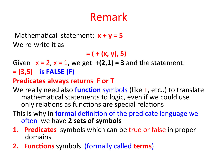# Remark

Mathematical statement:  $x + y = 5$ We re-write it as

 $=$  ( + (x, y), 5)

Given  $x = 2$ ,  $x = 1$ , we get  $+(2,1) = 3$  and the statement: **= (3,5)** is **FALSE** (F)

### **Predicates always returns F or T**

- We really need also **function** symbols (like +, etc..) to translate mathematical statements to logic, even if we could use only relations as functions are special relations
- This is why in **formal** definition of the predicate language we often we have 2 sets of symbols
- **1. Predicates** symbols which can be true or false in proper domains
- **2. Functions** symbols (formally called **terms**)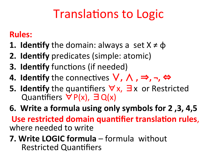# **Translations to Logic**

## **Rules:**

- **1. Identify** the domain: always a set  $X \neq \phi$
- **2. Identify** predicates (simple: atomic)
- **3. Identify** functions (if needed)
- **4. Identify** the connectives  $\vee$ ,  $\wedge$ ,  $\Rightarrow$ , ¬, ⇔
- **5. Identify** the quantifiers  $\forall x, \exists x$  or Restricted Quantifiers  $\forall P(x), \exists Q(x)$
- **6.** Write a formula using only symbols for 2, 3, 4,5 Use restricted domain quantifier translation rules, where needed to write
- **7. Write LOGIC formula** formula without **Restricted Quantifiers**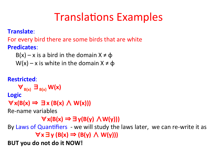# **Translations Examples**

#### **Translate**:

For every bird there are some birds that are white **Predicates**: 

```
B(x) - x is a bird in the domain X \neq \Phi
```

```
W(x) - x is white in the domain X \neq \Phi
```
#### **Restricted**:

 $\forall$ <sub>B(x)</sub>  $\exists$ <sub>B(x)</sub> W(x)

**Logic** 

 $\forall$  **x**(B(**x**)  $\Rightarrow$  ∃**x** (B(**x**)  $\land$  **W(x**)))

Re-name variables

∀**x(B(x)** ⇒∃**y(B(y)** ∧**W(y)))** 

By Laws of Quantifiers - we will study the laws later, we can re-write it as  $\forall$ **x**∃**y** (B(x)  $\Rightarrow$  (B(y) ∧ W(y)))

**BUT** you do not do it NOW!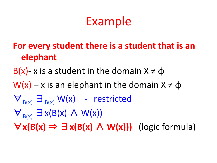# Example

## For every student there is a student that is an **elephant**

## B(x) - x is a student in the domain  $X \neq \phi$

- $W(x) x$  is an elephant in the domain  $X \neq \phi$
- $\nabla_{B(x)} \equiv_{B(x)} W(x)$  restricted
- $\forall_{B(x)} \exists x(B(x) \land W(x))$

 $\forall$ **x(B(x)**  $\Rightarrow$   $\exists$ **x(B(x)**  $\wedge$  **W(x)))** (logic formula)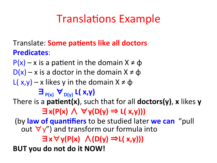# **Translations Example**

### **Translate: Some patients like all doctors Predicates**:

 $P(x) - x$  is a patient in the domain  $X \neq \phi$  $D(x) - x$  is a doctor in the domain  $X \neq \phi$ L( $x,y$ ) – x likes y in the domain  $X \neq \Phi$ ∃**P(x)** ∀**D(y) L( x,y)**  There is a **patient(x)**, such that for all **doctors(y)**, x likes y ∃**x(P(x)** ∧ ∀**y(D(y)** ⇒ **L( x,y)))**  (by law of quantifiers to be studied later we can "pull out  $\forall y''$ ) and transform our formula into ∃**x**∀**y(P(x)** ∧**(D(y)** ⇒**L( x,y))) BUT** you do not do it NOW!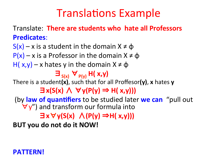# **Translations Example**

**Translate: There are students who hate all Professors Predicates**: 

 $S(x) - x$  is a student in the domain  $X \neq \Phi$  $P(x) - x$  is a Professor in the domain  $X \neq \phi$ H( $x,y$ ) – x hates y in the domain  $X \neq \Phi$  $\exists$ <sub>S(x)</sub>  $\forall$ <sub>P(y)</sub> H( $\exists$ ,y) There is a student(x), such that for all Proffesor(y), x hates y ∃**x(S(x)** ∧ ∀**y(P(y)** ⇒ **H( x,y)))**  (by law of quantifiers to be studied later we can "pull out  $\forall y''$ ) and transform our formula into ∃**x**∀**y(S(x)** ∧**(P(y)** ⇒**H( x,y))) BUT** you do not do it NOW!

### **PATTERN!**